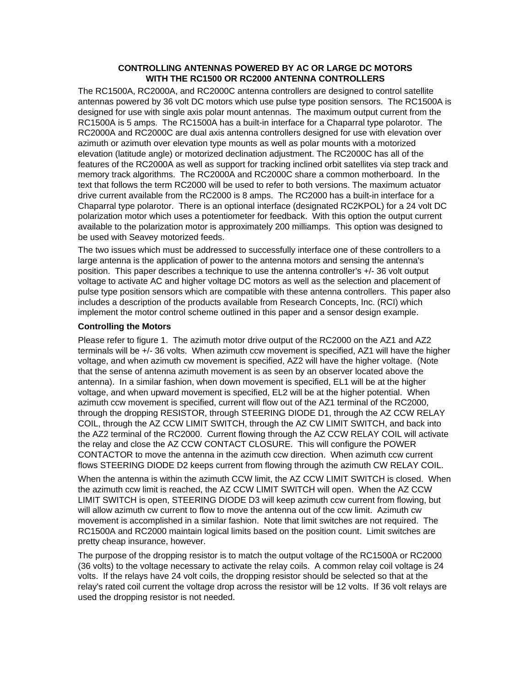## **CONTROLLING ANTENNAS POWERED BY AC OR LARGE DC MOTORS WITH THE RC1500 OR RC2000 ANTENNA CONTROLLERS**

The RC1500A, RC2000A, and RC2000C antenna controllers are designed to control satellite antennas powered by 36 volt DC motors which use pulse type position sensors. The RC1500A is designed for use with single axis polar mount antennas. The maximum output current from the RC1500A is 5 amps. The RC1500A has a built-in interface for a Chaparral type polarotor. The RC2000A and RC2000C are dual axis antenna controllers designed for use with elevation over azimuth or azimuth over elevation type mounts as well as polar mounts with a motorized elevation (latitude angle) or motorized declination adjustment. The RC2000C has all of the features of the RC2000A as well as support for tracking inclined orbit satellites via step track and memory track algorithms. The RC2000A and RC2000C share a common motherboard. In the text that follows the term RC2000 will be used to refer to both versions. The maximum actuator drive current available from the RC2000 is 8 amps. The RC2000 has a built-in interface for a Chaparral type polarotor. There is an optional interface (designated RC2KPOL) for a 24 volt DC polarization motor which uses a potentiometer for feedback. With this option the output current available to the polarization motor is approximately 200 milliamps. This option was designed to be used with Seavey motorized feeds.

The two issues which must be addressed to successfully interface one of these controllers to a large antenna is the application of power to the antenna motors and sensing the antenna's position. This paper describes a technique to use the antenna controller's +/- 36 volt output voltage to activate AC and higher voltage DC motors as well as the selection and placement of pulse type position sensors which are compatible with these antenna controllers. This paper also includes a description of the products available from Research Concepts, Inc. (RCI) which implement the motor control scheme outlined in this paper and a sensor design example.

# **Controlling the Motors**

Please refer to figure 1. The azimuth motor drive output of the RC2000 on the AZ1 and AZ2 terminals will be +/- 36 volts. When azimuth ccw movement is specified, AZ1 will have the higher voltage, and when azimuth cw movement is specified, AZ2 will have the higher voltage. (Note that the sense of antenna azimuth movement is as seen by an observer located above the antenna). In a similar fashion, when down movement is specified, EL1 will be at the higher voltage, and when upward movement is specified, EL2 will be at the higher potential. When azimuth ccw movement is specified, current will flow out of the AZ1 terminal of the RC2000, through the dropping RESISTOR, through STEERING DIODE D1, through the AZ CCW RELAY COIL, through the AZ CCW LIMIT SWITCH, through the AZ CW LIMIT SWITCH, and back into the AZ2 terminal of the RC2000. Current flowing through the AZ CCW RELAY COIL will activate the relay and close the AZ CCW CONTACT CLOSURE. This will configure the POWER CONTACTOR to move the antenna in the azimuth ccw direction. When azimuth ccw current flows STEERING DIODE D2 keeps current from flowing through the azimuth CW RELAY COIL.

When the antenna is within the azimuth CCW limit, the AZ CCW LIMIT SWITCH is closed. When the azimuth ccw limit is reached, the AZ CCW LIMIT SWITCH will open. When the AZ CCW LIMIT SWITCH is open, STEERING DIODE D3 will keep azimuth ccw current from flowing, but will allow azimuth cw current to flow to move the antenna out of the ccw limit. Azimuth cw movement is accomplished in a similar fashion. Note that limit switches are not required. The RC1500A and RC2000 maintain logical limits based on the position count. Limit switches are pretty cheap insurance, however.

The purpose of the dropping resistor is to match the output voltage of the RC1500A or RC2000 (36 volts) to the voltage necessary to activate the relay coils. A common relay coil voltage is 24 volts. If the relays have 24 volt coils, the dropping resistor should be selected so that at the relay's rated coil current the voltage drop across the resistor will be 12 volts. If 36 volt relays are used the dropping resistor is not needed.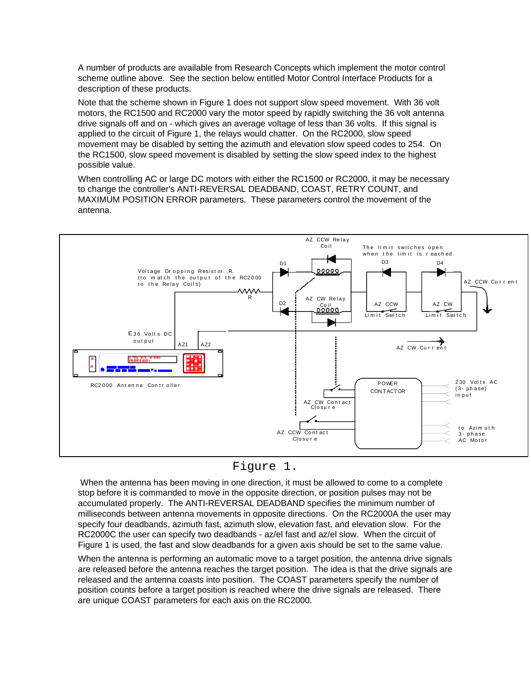A number of products are available from Research Concepts which implement the motor control scheme outline above. See the section below entitled Motor Control Interface Products for a description of these products.

Note that the scheme shown in Figure 1 does not support slow speed movement. With 36 volt motors, the RC1500 and RC2000 vary the motor speed by rapidly switching the 36 volt antenna drive signals off and on - which gives an average voltage of less than 36 volts. If this signal is applied to the circuit of Figure 1, the relays would chatter. On the RC2000, slow speed movement may be disabled by setting the azimuth and elevation slow speed codes to 254. On the RC1500, slow speed movement is disabled by setting the slow speed index to the highest possible value.

When controlling AC or large DC motors with either the RC1500 or RC2000, it may be necessary to change the controller's ANTI-REVERSAL DEADBAND, COAST, RETRY COUNT, and MAXIMUM POSITION ERROR parameters. These parameters control the movement of the antenna.



# Figure 1.

When the antenna has been moving in one direction, it must be allowed to come to a complete milliseconds between antenna movements in opposite directions. On the RC2000A the user may stop before it is commanded to move in the opposite direction, or position pulses may not be accumulated properly. The ANTI-REVERSAL DEADBAND specifies the minimum number of specify four deadbands, azimuth fast, azimuth slow, elevation fast, and elevation slow. For the RC2000C the user can specify two deadbands - az/el fast and az/el slow. When the circuit of Figure 1 is used, the fast and slow deadbands for a given axis should be set to the same value.

When the antenna is performing an automatic move to a target position, the antenna drive signals are released before the antenna reaches the target position. The idea is that the drive signals are released and the antenna coasts into position. The COAST parameters specify the number of position counts before a target position is reached where the drive signals are released. There are unique COAST parameters for each axis on the RC2000.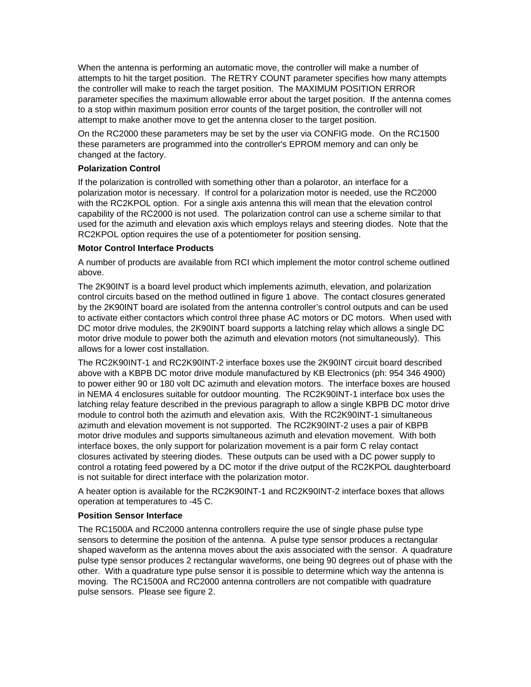When the antenna is performing an automatic move, the controller will make a number of attempts to hit the target position. The RETRY COUNT parameter specifies how many attempts the controller will make to reach the target position. The MAXIMUM POSITION ERROR parameter specifies the maximum allowable error about the target position. If the antenna comes to a stop within maximum position error counts of the target position, the controller will not attempt to make another move to get the antenna closer to the target position.

On the RC2000 these parameters may be set by the user via CONFIG mode. On the RC1500 these parameters are programmed into the controller's EPROM memory and can only be changed at the factory.

# **Polarization Control**

If the polarization is controlled with something other than a polarotor, an interface for a polarization motor is necessary. If control for a polarization motor is needed, use the RC2000 with the RC2KPOL option. For a single axis antenna this will mean that the elevation control capability of the RC2000 is not used. The polarization control can use a scheme similar to that used for the azimuth and elevation axis which employs relays and steering diodes. Note that the RC2KPOL option requires the use of a potentiometer for position sensing.

# **Motor Control Interface Products**

A number of products are available from RCI which implement the motor control scheme outlined above.

The 2K90INT is a board level product which implements azimuth, elevation, and polarization control circuits based on the method outlined in figure 1 above. The contact closures generated by the 2K90INT board are isolated from the antenna controller's control outputs and can be used to activate either contactors which control three phase AC motors or DC motors. When used with DC motor drive modules, the 2K90INT board supports a latching relay which allows a single DC motor drive module to power both the azimuth and elevation motors (not simultaneously). This allows for a lower cost installation.

The RC2K90INT-1 and RC2K90INT-2 interface boxes use the 2K90INT circuit board described above with a KBPB DC motor drive module manufactured by KB Electronics (ph: 954 346 4900) to power either 90 or 180 volt DC azimuth and elevation motors. The interface boxes are housed in NEMA 4 enclosures suitable for outdoor mounting. The RC2K90INT-1 interface box uses the latching relay feature described in the previous paragraph to allow a single KBPB DC motor drive module to control both the azimuth and elevation axis. With the RC2K90INT-1 simultaneous azimuth and elevation movement is not supported. The RC2K90INT-2 uses a pair of KBPB motor drive modules and supports simultaneous azimuth and elevation movement. With both interface boxes, the only support for polarization movement is a pair form C relay contact closures activated by steering diodes. These outputs can be used with a DC power supply to control a rotating feed powered by a DC motor if the drive output of the RC2KPOL daughterboard is not suitable for direct interface with the polarization motor.

A heater option is available for the RC2K90INT-1 and RC2K90INT-2 interface boxes that allows operation at temperatures to -45 C.

### **Position Sensor Interface**

The RC1500A and RC2000 antenna controllers require the use of single phase pulse type sensors to determine the position of the antenna. A pulse type sensor produces a rectangular shaped waveform as the antenna moves about the axis associated with the sensor. A quadrature pulse type sensor produces 2 rectangular waveforms, one being 90 degrees out of phase with the other. With a quadrature type pulse sensor it is possible to determine which way the antenna is moving. The RC1500A and RC2000 antenna controllers are not compatible with quadrature pulse sensors. Please see figure 2.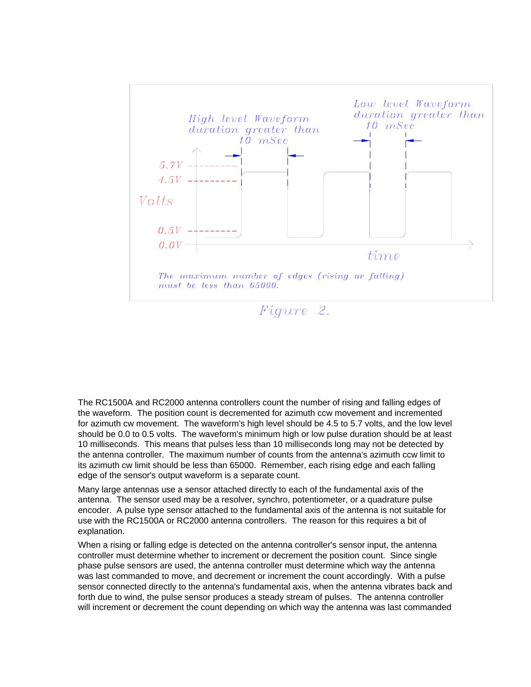

The RC1500A and RC2000 antenna controllers count the number of rising and falling edges of the waveform. The position count is decremented for azimuth ccw movement and incremented for azimuth cw movement. The waveform's high level should be 4.5 to 5.7 volts, and the low level should be 0.0 to 0.5 volts. The waveform's minimum high or low pulse duration should be at least 10 milliseconds. This means that pulses less than 10 milliseconds long may not be detected by the antenna controller. The maximum number of counts from the antenna's azimuth ccw limit to its azimuth cw limit should be less than 65000. Remember, each rising edge and each falling edge of the sensor's output waveform is a separate count.

Many large antennas use a sensor attached directly to each of the fundamental axis of the antenna. The sensor used may be a resolver, synchro, potentiometer, or a quadrature pulse encoder. A pulse type sensor attached to the fundamental axis of the antenna is not suitable for use with the RC1500A or RC2000 antenna controllers. The reason for this requires a bit of explanation.

When a rising or falling edge is detected on the antenna controller's sensor input, the antenna controller must determine whether to increment or decrement the position count. Since single phase pulse sensors are used, the antenna controller must determine which way the antenna was last commanded to move, and decrement or increment the count accordingly. With a pulse sensor connected directly to the antenna's fundamental axis, when the antenna vibrates back and forth due to wind, the pulse sensor produces a steady stream of pulses. The antenna controller will increment or decrement the count depending on which way the antenna was last commanded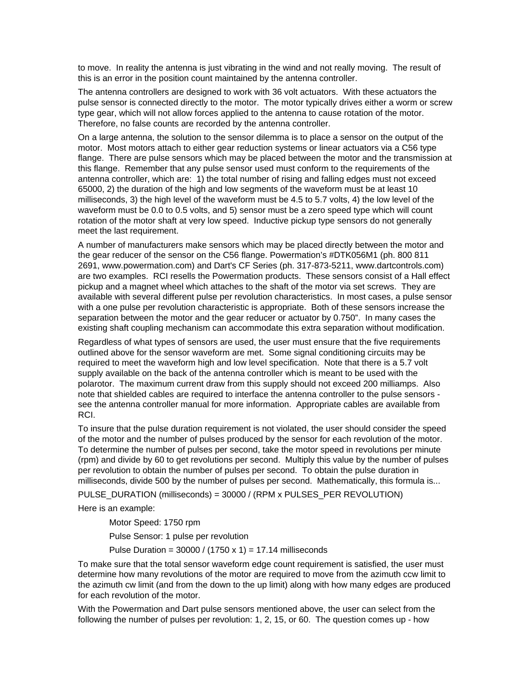to move. In reality the antenna is just vibrating in the wind and not really moving. The result of this is an error in the position count maintained by the antenna controller.

The antenna controllers are designed to work with 36 volt actuators. With these actuators the pulse sensor is connected directly to the motor. The motor typically drives either a worm or screw type gear, which will not allow forces applied to the antenna to cause rotation of the motor. Therefore, no false counts are recorded by the antenna controller.

On a large antenna, the solution to the sensor dilemma is to place a sensor on the output of the motor. Most motors attach to either gear reduction systems or linear actuators via a C56 type flange. There are pulse sensors which may be placed between the motor and the transmission at this flange. Remember that any pulse sensor used must conform to the requirements of the antenna controller, which are: 1) the total number of rising and falling edges must not exceed 65000, 2) the duration of the high and low segments of the waveform must be at least 10 milliseconds, 3) the high level of the waveform must be 4.5 to 5.7 volts, 4) the low level of the waveform must be 0.0 to 0.5 volts, and 5) sensor must be a zero speed type which will count rotation of the motor shaft at very low speed. Inductive pickup type sensors do not generally meet the last requirement.

A number of manufacturers make sensors which may be placed directly between the motor and the gear reducer of the sensor on the C56 flange. Powermation's #DTK056M1 (ph. 800 811 2691, www.powermation.com) and Dart's CF Series (ph. 317-873-5211, www.dartcontrols.com) are two examples. RCI resells the Powermation products. These sensors consist of a Hall effect pickup and a magnet wheel which attaches to the shaft of the motor via set screws. They are available with several different pulse per revolution characteristics. In most cases, a pulse sensor with a one pulse per revolution characteristic is appropriate. Both of these sensors increase the separation between the motor and the gear reducer or actuator by 0.750". In many cases the existing shaft coupling mechanism can accommodate this extra separation without modification.

Regardless of what types of sensors are used, the user must ensure that the five requirements outlined above for the sensor waveform are met. Some signal conditioning circuits may be required to meet the waveform high and low level specification. Note that there is a 5.7 volt supply available on the back of the antenna controller which is meant to be used with the polarotor. The maximum current draw from this supply should not exceed 200 milliamps. Also note that shielded cables are required to interface the antenna controller to the pulse sensors see the antenna controller manual for more information. Appropriate cables are available from RCI.

To insure that the pulse duration requirement is not violated, the user should consider the speed of the motor and the number of pulses produced by the sensor for each revolution of the motor. To determine the number of pulses per second, take the motor speed in revolutions per minute (rpm) and divide by 60 to get revolutions per second. Multiply this value by the number of pulses per revolution to obtain the number of pulses per second. To obtain the pulse duration in milliseconds, divide 500 by the number of pulses per second. Mathematically, this formula is...

PULSE\_DURATION (milliseconds) = 30000 / (RPM x PULSES\_PER REVOLUTION)

Here is an example:

 Motor Speed: 1750 rpm Pulse Sensor: 1 pulse per revolution

Pulse Duration =  $30000 / (1750 \times 1) = 17.14$  milliseconds

To make sure that the total sensor waveform edge count requirement is satisfied, the user must determine how many revolutions of the motor are required to move from the azimuth ccw limit to the azimuth cw limit (and from the down to the up limit) along with how many edges are produced for each revolution of the motor.

With the Powermation and Dart pulse sensors mentioned above, the user can select from the following the number of pulses per revolution: 1, 2, 15, or 60. The question comes up - how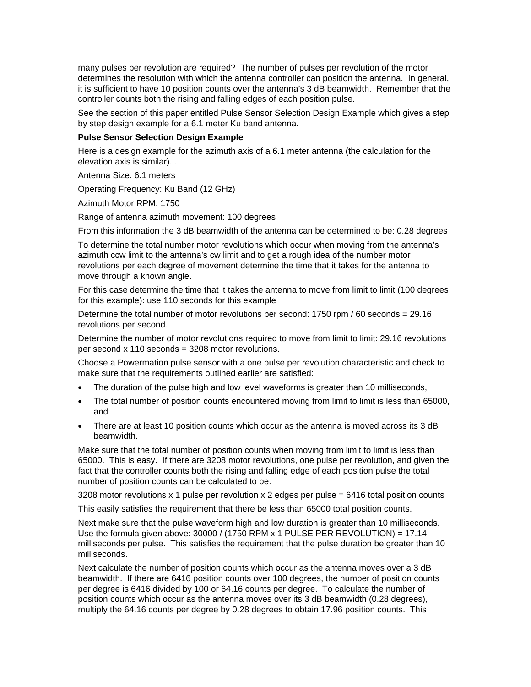many pulses per revolution are required? The number of pulses per revolution of the motor determines the resolution with which the antenna controller can position the antenna. In general, it is sufficient to have 10 position counts over the antenna's 3 dB beamwidth. Remember that the controller counts both the rising and falling edges of each position pulse.

See the section of this paper entitled Pulse Sensor Selection Design Example which gives a step by step design example for a 6.1 meter Ku band antenna.

#### **Pulse Sensor Selection Design Example**

Here is a design example for the azimuth axis of a 6.1 meter antenna (the calculation for the elevation axis is similar)...

Antenna Size: 6.1 meters

Operating Frequency: Ku Band (12 GHz)

Azimuth Motor RPM: 1750

Range of antenna azimuth movement: 100 degrees

From this information the 3 dB beamwidth of the antenna can be determined to be: 0.28 degrees

To determine the total number motor revolutions which occur when moving from the antenna's azimuth ccw limit to the antenna's cw limit and to get a rough idea of the number motor revolutions per each degree of movement determine the time that it takes for the antenna to move through a known angle.

For this case determine the time that it takes the antenna to move from limit to limit (100 degrees for this example): use 110 seconds for this example

Determine the total number of motor revolutions per second: 1750 rpm / 60 seconds = 29.16 revolutions per second.

Determine the number of motor revolutions required to move from limit to limit: 29.16 revolutions per second x 110 seconds = 3208 motor revolutions.

Choose a Powermation pulse sensor with a one pulse per revolution characteristic and check to make sure that the requirements outlined earlier are satisfied:

- The duration of the pulse high and low level waveforms is greater than 10 milliseconds,
- The total number of position counts encountered moving from limit to limit is less than 65000, and
- There are at least 10 position counts which occur as the antenna is moved across its 3 dB beamwidth.

Make sure that the total number of position counts when moving from limit to limit is less than 65000. This is easy. If there are 3208 motor revolutions, one pulse per revolution, and given the fact that the controller counts both the rising and falling edge of each position pulse the total number of position counts can be calculated to be:

3208 motor revolutions x 1 pulse per revolution x 2 edges per pulse = 6416 total position counts

This easily satisfies the requirement that there be less than 65000 total position counts.

Next make sure that the pulse waveform high and low duration is greater than 10 milliseconds. Use the formula given above: 30000 / (1750 RPM x 1 PULSE PER REVOLUTION) = 17.14 milliseconds per pulse. This satisfies the requirement that the pulse duration be greater than 10 milliseconds.

Next calculate the number of position counts which occur as the antenna moves over a 3 dB beamwidth. If there are 6416 position counts over 100 degrees, the number of position counts per degree is 6416 divided by 100 or 64.16 counts per degree. To calculate the number of position counts which occur as the antenna moves over its 3 dB beamwidth (0.28 degrees), multiply the 64.16 counts per degree by 0.28 degrees to obtain 17.96 position counts. This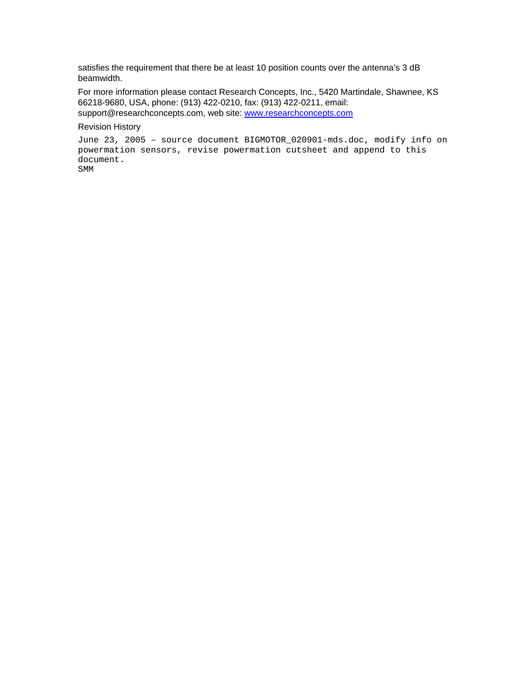satisfies the requirement that there be at least 10 position counts over the antenna's 3 dB beamwidth.

For more information please contact Research Concepts, Inc., 5420 Martindale, Shawnee, KS 66218-9680, USA, phone: (913) 422-0210, fax: (913) 422-0211, email: support@researchconcepts.com, web site: [www.researchconcepts.com](http://www.researchconcepts.com/)

#### Revision History

```
June 23, 2005 – source document BIGMOTOR_020901-mds.doc, modify info on 
powermation sensors, revise powermation cutsheet and append to this 
document. 
SMM
```